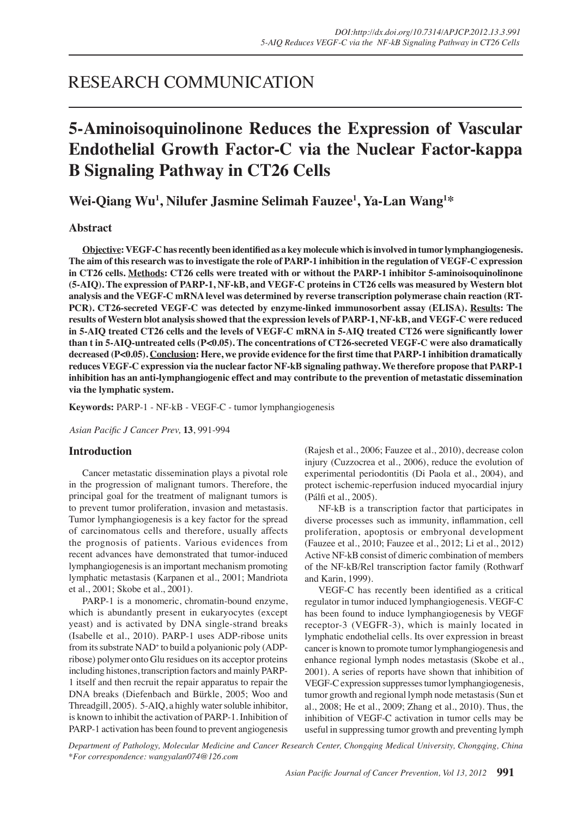## RESEARCH COMMUNICATION

# **5-Aminoisoquinolinone Reduces the Expression of Vascular Endothelial Growth Factor-C via the Nuclear Factor-kappa B Signaling Pathway in CT26 Cells**

**Wei-Qiang Wu<sup>1</sup> , Nilufer Jasmine Selimah Fauzee<sup>1</sup> , Ya-Lan Wang<sup>1</sup> \***

## **Abstract**

**Objective: VEGF-C has recently been identified as a key molecule which is involved in tumor lymphangiogenesis. The aim of this research was to investigate the role of PARP-1 inhibition in the regulation of VEGF-C expression in CT26 cells. Methods: CT26 cells were treated with or without the PARP-1 inhibitor 5-aminoisoquinolinone (5-AIQ). The expression of PARP-1, NF-kB, and VEGF-C proteins in CT26 cells was measured by Western blot analysis and the VEGF-C mRNA level was determined by reverse transcription polymerase chain reaction (RT-PCR). CT26-secreted VEGF-C was detected by enzyme-linked immunosorbent assay (ELISA). Results: The results of Western blot analysis showed that the expression levels of PARP-1, NF-kB, and VEGF-C were reduced in 5-AIQ treated CT26 cells and the levels of VEGF-C mRNA in 5-AIQ treated CT26 were significantly lower than t in 5-AIQ-untreated cells (P<0.05). The concentrations of CT26-secreted VEGF-C were also dramatically decreased (P<0.05). Conclusion: Here, we provide evidence for the first time that PARP-1 inhibition dramatically reduces VEGF-C expression via the nuclear factor NF-kB signaling pathway. We therefore propose that PARP-1 inhibition has an anti-lymphangiogenic effect and may contribute to the prevention of metastatic dissemination via the lymphatic system.**

**Keywords:** PARP-1 - NF-kB - VEGF-C - tumor lymphangiogenesis

*Asian Pacific J Cancer Prev,* **13**, 991-994

## **Introduction**

Cancer metastatic dissemination plays a pivotal role in the progression of malignant tumors. Therefore, the principal goal for the treatment of malignant tumors is to prevent tumor proliferation, invasion and metastasis. Tumor lymphangiogenesis is a key factor for the spread of carcinomatous cells and therefore, usually affects the prognosis of patients. Various evidences from recent advances have demonstrated that tumor-induced lymphangiogenesis is an important mechanism promoting lymphatic metastasis (Karpanen et al., 2001; Mandriota et al., 2001; Skobe et al., 2001).

PARP-1 is a monomeric, chromatin-bound enzyme, which is abundantly present in eukaryocytes (except yeast) and is activated by DNA single-strand breaks (Isabelle et al., 2010). PARP-1 uses ADP-ribose units from its substrate NAD<sup>+</sup> to build a polyanionic poly (ADPribose) polymer onto Glu residues on its acceptor proteins including histones, transcription factors and mainly PARP-1 itself and then recruit the repair apparatus to repair the DNA breaks (Diefenbach and Bürkle, 2005; Woo and Threadgill, 2005). 5-AIQ, a highly water soluble inhibitor, is known to inhibit the activation of PARP-1. Inhibition of PARP-1 activation has been found to prevent angiogenesis

(Rajesh et al., 2006; Fauzee et al., 2010), decrease colon injury (Cuzzocrea et al., 2006), reduce the evolution of experimental periodontitis (Di Paola et al., 2004), and protect ischemic-reperfusion induced myocardial injury (Pálfi et al., 2005).

NF-kB is a transcription factor that participates in diverse processes such as immunity, inflammation, cell proliferation, apoptosis or embryonal development (Fauzee et al., 2010; Fauzee et al., 2012; Li et al., 2012) Active NF-kB consist of dimeric combination of members of the NF-kB/Rel transcription factor family (Rothwarf and Karin, 1999).

VEGF-C has recently been identified as a critical regulator in tumor induced lymphangiogenesis. VEGF-C has been found to induce lymphangiogenesis by VEGF receptor-3 (VEGFR-3), which is mainly located in lymphatic endothelial cells. Its over expression in breast cancer is known to promote tumor lymphangiogenesis and enhance regional lymph nodes metastasis (Skobe et al., 2001). A series of reports have shown that inhibition of VEGF-C expression suppresses tumor lymphangiogenesis, tumor growth and regional lymph node metastasis (Sun et al., 2008; He et al., 2009; Zhang et al., 2010). Thus, the inhibition of VEGF-C activation in tumor cells may be useful in suppressing tumor growth and preventing lymph

*Department of Pathology, Molecular Medicine and Cancer Research Center, Chongqing Medical University, Chongqing, China \*For correspondence: wangyalan074@126.com*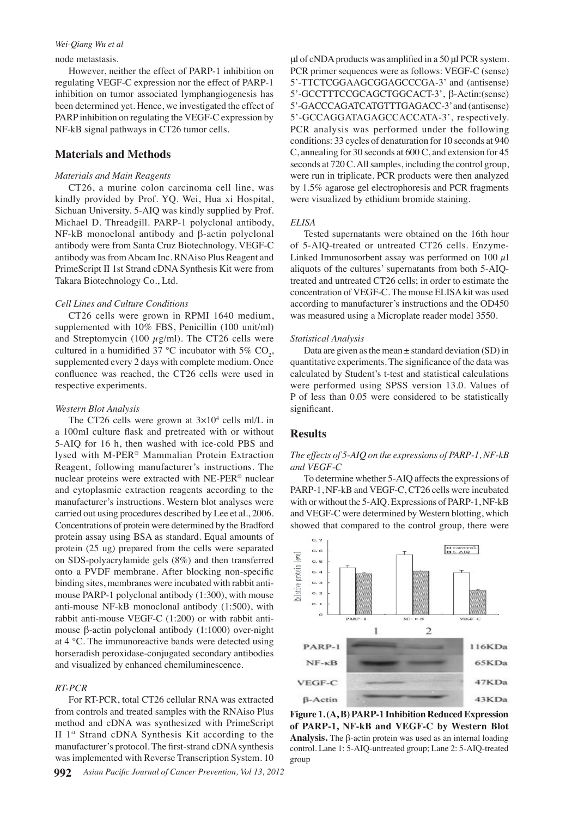## *Wei-Qiang Wu et al*

#### node metastasis.

However, neither the effect of PARP-1 inhibition on regulating VEGF-C expression nor the effect of PARP-1 inhibition on tumor associated lymphangiogenesis has been determined yet. Hence, we investigated the effect of PARP inhibition on regulating the VEGF-C expression by NF-kB signal pathways in CT26 tumor cells.

## **Materials and Methods**

## *Materials and Main Reagents*

CT26, a murine colon carcinoma cell line, was kindly provided by Prof. YQ. Wei, Hua xi Hospital, Sichuan University. 5-AIQ was kindly supplied by Prof. Michael D. Threadgill. PARP-1 polyclonal antibody, NF-kB monoclonal antibody and β-actin polyclonal antibody were from Santa Cruz Biotechnology. VEGF-C antibody was from Abcam Inc. RNAiso Plus Reagent and PrimeScript II 1st Strand cDNA Synthesis Kit were from Takara Biotechnology Co., Ltd.

#### *Cell Lines and Culture Conditions*

CT26 cells were grown in RPMI 1640 medium, supplemented with 10% FBS, Penicillin (100 unit/ml) and Streptomycin (100  $\mu$ g/ml). The CT26 cells were cultured in a humidified 37 °C incubator with 5%  $CO<sub>2</sub>$ , supplemented every 2 days with complete medium. Once confluence was reached, the CT26 cells were used in respective experiments.

#### *Western Blot Analysis*

The CT26 cells were grown at  $3 \times 10^4$  cells ml/L in a 100ml culture flask and pretreated with or without 5-AIQ for 16 h, then washed with ice-cold PBS and lysed with M-PER® Mammalian Protein Extraction Reagent, following manufacturer's instructions. The nuclear proteins were extracted with NE-PER® nuclear and cytoplasmic extraction reagents according to the manufacturer's instructions. Western blot analyses were carried out using procedures described by Lee et al., 2006. Concentrations of protein were determined by the Bradford protein assay using BSA as standard. Equal amounts of protein (25 ug) prepared from the cells were separated on SDS-polyacrylamide gels (8%) and then transferred onto a PVDF membrane. After blocking non-specific binding sites, membranes were incubated with rabbit antimouse PARP-1 polyclonal antibody (1:300), with mouse anti-mouse NF-kB monoclonal antibody (1:500), with rabbit anti-mouse VEGF-C (1:200) or with rabbit antimouse β-actin polyclonal antibody (1:1000) over-night at 4 ℃. The immunoreactive bands were detected using horseradish peroxidase-conjugated secondary antibodies and visualized by enhanced chemiluminescence.

#### *RT-PCR*

For RT-PCR, total CT26 cellular RNA was extracted from controls and treated samples with the RNAiso Plus method and cDNA was synthesized with PrimeScript II 1st Strand cDNA Synthesis Kit according to the manufacturer's protocol. The first-strand cDNA synthesis was implemented with Reverse Transcription System. 10

μl of cNDA products was amplified in a 50 μl PCR system. PCR primer sequences were as follows: VEGF-C (sense) 5'-TTCTCGGAAGCGGAGCCCGA-3' and (antisense) 5'-GCCTTTCCGCAGCTGGCACT-3', β-Actin:(sense) 5'-GACCCAGATCATGTTTGAGACC-3' and (antisense) 5'-GCCAGGATAGAGCCACCATA-3', respectively. PCR analysis was performed under the following conditions: 33 cycles of denaturation for 10 seconds at 940 C, annealing for 30 seconds at 600 C, and extension for 45 seconds at 720 C. All samples, including the control group, were run in triplicate. PCR products were then analyzed by 1.5% agarose gel electrophoresis and PCR fragments were visualized by ethidium bromide staining.

#### *ELISA*

Tested supernatants were obtained on the 16th hour of 5-AIQ-treated or untreated CT26 cells. Enzyme-Linked Immunosorbent assay was performed on 100  $\mu$ 1 aliquots of the cultures' supernatants from both 5-AIQtreated and untreated CT26 cells; in order to estimate the concentration of VEGF-C. The mouse ELISA kit was used according to manufacturer's instructions and the OD450 was measured using a Microplate reader model 3550.

#### *Statistical Analysis*

Data are given as the mean  $\pm$  standard deviation (SD) in quantitative experiments. The significance of the data was calculated by Student's t-test and statistical calculations were performed using SPSS version 13.0. Values of P of less than 0.05 were considered to be statistically significant.

## **Results**

## *The effects of 5-AIQ on the expressions of PARP-1, NF-kB and VEGF-C*

To determine whether 5-AIQ affects the expressions of PARP-1, NF-kB and VEGF-C, CT26 cells were incubated with or without the 5-AIQ. Expressions of PARP-1, NF-kB and VEGF-C were determined by Western blotting, which showed that compared to the control group, there were



**Figure 1.(A, B) PARP-1 Inhibition Reduced Expression of PARP-1, NF-kB and VEGF-C by Western Blot Analysis.** The β-actin protein was used as an internal loading control. Lane 1: 5-AIQ-untreated group; Lane 2: 5-AIQ-treated group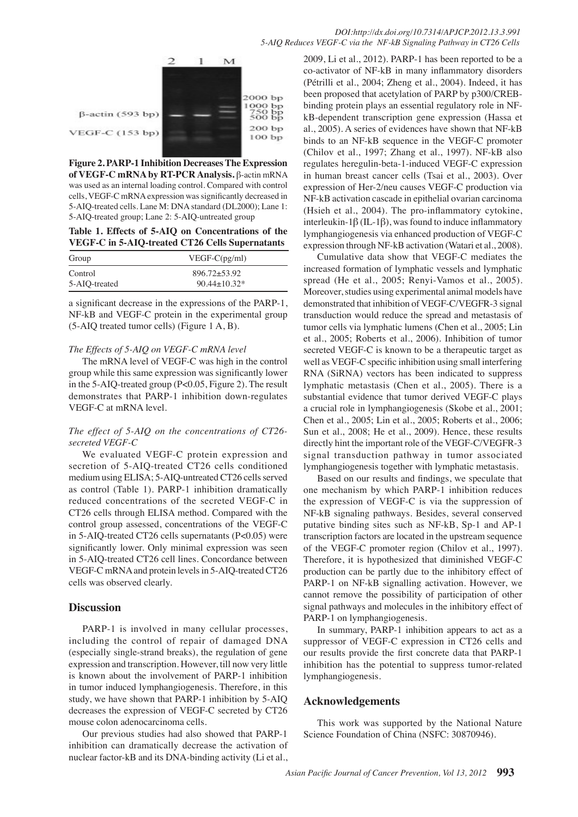

**Figure 2. PARP-1 Inhibition Decreases The Expression of VEGF-C mRNA by RT-PCR Analysis.** β-actin mRNA was used as an internal loading control. Compared with control cells, VEGF-C mRNA expression was significantly decreased in 5-AIQ-treated cells. Lane M: DNA standard (DL2000); Lane 1: 5-AIQ-treated group; Lane 2: 5-AIQ-untreated group

## **Table 1. Effects of 5-AIQ on Concentrations of the VEGF-C in 5-AIQ-treated CT26 Cells Supernatants**

| Group         | $VEGF-C(pg/ml)$  |
|---------------|------------------|
| Control       | $896.72 + 53.92$ |
| 5-AIO-treated | $90.44 + 10.32*$ |

a significant decrease in the expressions of the PARP-1, NF-kB and VEGF-C protein in the experimental group (5-AIQ treated tumor cells) (Figure 1 A, B).

## *The Effects of 5-AIQ on VEGF-C mRNA level*

The mRNA level of VEGF-C was high in the control group while this same expression was significantly lower in the 5-AIQ-treated group (P<0.05, Figure 2). The result demonstrates that PARP-1 inhibition down-regulates VEGF-C at mRNA level.

## *The effect of 5-AIQ on the concentrations of CT26 secreted VEGF-C*

We evaluated VEGF-C protein expression and secretion of 5-AIQ-treated CT26 cells conditioned medium using ELISA; 5-AIQ-untreated CT26 cells served as control (Table 1). PARP-1 inhibition dramatically reduced concentrations of the secreted VEGF-C in CT26 cells through ELISA method. Compared with the control group assessed, concentrations of the VEGF-C in 5-AIQ-treated CT26 cells supernatants (P<0.05) were significantly lower. Only minimal expression was seen in 5-AIQ-treated CT26 cell lines. Concordance between VEGF-C mRNA and protein levels in 5-AIQ-treated CT26 cells was observed clearly.

## **Discussion**

PARP-1 is involved in many cellular processes, including the control of repair of damaged DNA (especially single-strand breaks), the regulation of gene expression and transcription. However, till now very little is known about the involvement of PARP-1 inhibition in tumor induced lymphangiogenesis. Therefore, in this study, we have shown that PARP-1 inhibition by 5-AIQ decreases the expression of VEGF-C secreted by CT26 mouse colon adenocarcinoma cells.

Our previous studies had also showed that PARP-1 inhibition can dramatically decrease the activation of nuclear factor-kB and its DNA-binding activity (Li et al.,

(Hsieh et al., 2004). The pro-inflammatory cytokine,  $75.0$ in human breast cancer cells (Tsai et al., 2003). Over 100.0 2009, Li et al., 2012). PARP-1 has been reported to be a co-activator of NF-kB in many inflammatory disorders (Pétrilli et al., 2004; Zheng et al., 2004). Indeed, it has been proposed that acetylation of PARP by p300/CREBbinding protein plays an essential regulatory role in NFkB-dependent transcription gene expression (Hassa et al., 2005). A series of evidences have shown that NF-kB binds to an NF-kB sequence in the VEGF-C promoter (Chilov et al., 1997; Zhang et al., 1997). NF-kB also regulates heregulin-beta-1-induced VEGF-C expression expression of Her-2/neu causes VEGF-C production via NF-kB activation cascade in epithelial ovarian carcinoma interleukin-1β (IL-1β), was found to induce inflammatory lymphangiogenesis via enhanced production of VEGF-C expression through NF-kB activation (Watari et al., 2008).

0 Moreover, studies using experimental animal models have 25.0 Cumulative data show that VEGF-C mediates the 50.0 increased formation of lymphatic vessels and lymphatic spread (He et al., 2005; Renyi-Vamos et al., 2005). demonstrated that inhibition of VEGF-C/VEGFR-3 signal transduction would reduce the spread and metastasis of tumor cells via lymphatic lumens (Chen et al., 2005; Lin et al., 2005; Roberts et al., 2006). Inhibition of tumor secreted VEGF-C is known to be a therapeutic target as well as VEGF-C specific inhibition using small interfering RNA (SiRNA) vectors has been indicated to suppress lymphatic metastasis (Chen et al., 2005). There is a substantial evidence that tumor derived VEGF-C plays a crucial role in lymphangiogenesis (Skobe et al., 2001; Chen et al., 2005; Lin et al., 2005; Roberts et al., 2006; Sun et al., 2008; He et al., 2009). Hence, these results directly hint the important role of the VEGF-C/VEGFR-3 signal transduction pathway in tumor associated lymphangiogenesis together with lymphatic metastasis.

Based on our results and findings, we speculate that one mechanism by which PARP-1 inhibition reduces the expression of VEGF-C is via the suppression of NF-kB signaling pathways. Besides, several conserved putative binding sites such as NF-kB, Sp-1 and AP-1 transcription factors are located in the upstream sequence of the VEGF-C promoter region (Chilov et al., 1997). Therefore, it is hypothesized that diminished VEGF-C production can be partly due to the inhibitory effect of PARP-1 on NF-kB signalling activation. However, we cannot remove the possibility of participation of other signal pathways and molecules in the inhibitory effect of PARP-1 on lymphangiogenesis.

In summary, PARP-1 inhibition appears to act as a suppressor of VEGF-C expression in CT26 cells and our results provide the first concrete data that PARP-1 inhibition has the potential to suppress tumor-related lymphangiogenesis.

## **Acknowledgements**

This work was supported by the National Nature Science Foundation of China (NSFC: 30870946).

**46.8 56.3**

**20.3 6.3 10.1**